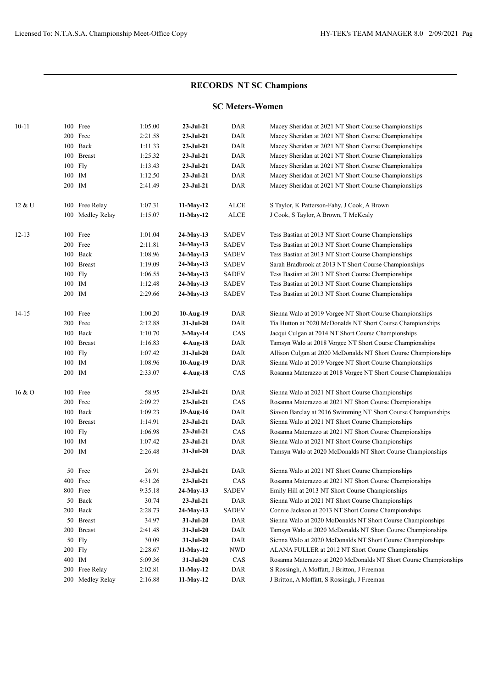## **RECORDS NT SC Champions**

## **SC Meters-Women**

| $10 - 11$ | 100 Free             | 1:05.00 | $23-Jul-21$     | <b>DAR</b>   | Macey Sheridan at 2021 NT Short Course Championships              |
|-----------|----------------------|---------|-----------------|--------------|-------------------------------------------------------------------|
|           | 200 Free             | 2:21.58 | $23-Jul-21$     | DAR          | Macey Sheridan at 2021 NT Short Course Championships              |
|           | Back<br>100          | 1:11.33 | $23-Jul-21$     | DAR          | Macey Sheridan at 2021 NT Short Course Championships              |
|           | 100<br><b>Breast</b> | 1:25.32 | $23-Jul-21$     | DAR          | Macey Sheridan at 2021 NT Short Course Championships              |
|           | 100 Fly              | 1:13.43 | $23-Jul-21$     | DAR          | Macey Sheridan at 2021 NT Short Course Championships              |
|           | 100 IM               | 1:12.50 | $23 - Jul - 21$ | DAR          | Macey Sheridan at 2021 NT Short Course Championships              |
|           | 200 IM               | 2:41.49 | $23-Jul-21$     | DAR          | Macey Sheridan at 2021 NT Short Course Championships              |
| 12 & U    | 100 Free Relay       | 1:07.31 | 11-May-12       | <b>ALCE</b>  | S Taylor, K Patterson-Fahy, J Cook, A Brown                       |
|           | 100 Medley Relay     | 1:15.07 | 11-May-12       | ALCE         | J Cook, S Taylor, A Brown, T McKealy                              |
| $12 - 13$ | 100 Free             | 1:01.04 | 24-May-13       | <b>SADEV</b> | Tess Bastian at 2013 NT Short Course Championships                |
|           | 200 Free             | 2:11.81 | 24-May-13       | <b>SADEV</b> | Tess Bastian at 2013 NT Short Course Championships                |
|           | Back<br>100          | 1:08.96 | 24-May-13       | <b>SADEV</b> | Tess Bastian at 2013 NT Short Course Championships                |
|           | 100<br><b>Breast</b> | 1:19.09 | 24-May-13       | <b>SADEV</b> | Sarah Bradbrook at 2013 NT Short Course Championships             |
|           | 100 Fly              | 1:06.55 | 24-May-13       | <b>SADEV</b> | Tess Bastian at 2013 NT Short Course Championships                |
|           | IM<br>100            | 1:12.48 | 24-May-13       | <b>SADEV</b> | Tess Bastian at 2013 NT Short Course Championships                |
|           | 200 IM               | 2:29.66 | 24-May-13       | <b>SADEV</b> | Tess Bastian at 2013 NT Short Course Championships                |
| $14 - 15$ | 100 Free             | 1:00.20 | 10-Aug-19       | DAR          | Sienna Walo at 2019 Vorgee NT Short Course Championships          |
|           | 200 Free             | 2:12.88 | $31-Jul-20$     | DAR          | Tia Hutton at 2020 McDonalds NT Short Course Championships        |
|           | 100 Back             | 1:10.70 | $3-May-14$      | CAS          | Jacqui Culgan at 2014 NT Short Course Championships               |
|           | 100 Breast           | 1:16.83 | 4-Aug-18        | DAR          | Tamsyn Walo at 2018 Vorgee NT Short Course Championships          |
|           | 100 Fly              | 1:07.42 | 31-Jul-20       | DAR          | Allison Culgan at 2020 McDonalds NT Short Course Championships    |
|           | 100 IM               | 1:08.96 | 10-Aug-19       | DAR          | Sienna Walo at 2019 Vorgee NT Short Course Championships          |
|           | 200 IM               | 2:33.07 | 4-Aug-18        | CAS          | Rosanna Materazzo at 2018 Vorgee NT Short Course Championships    |
| 16 & O    | 100 Free             | 58.95   | $23-Jul-21$     | DAR          | Sienna Walo at 2021 NT Short Course Championships                 |
|           | 200 Free             | 2:09.27 | $23-Jul-21$     | CAS          | Rosanna Materazzo at 2021 NT Short Course Championships           |
|           | 100 Back             | 1:09.23 | 19-Aug-16       | DAR          | Siavon Barclay at 2016 Swimming NT Short Course Championships     |
|           | 100 Breast           | 1:14.91 | $23-Jul-21$     | DAR          | Sienna Walo at 2021 NT Short Course Championships                 |
|           | 100 Fly              | 1:06.98 | $23-Jul-21$     | CAS          | Rosanna Materazzo at 2021 NT Short Course Championships           |
|           | 100 IM               | 1:07.42 | 23-Jul-21       | DAR          | Sienna Walo at 2021 NT Short Course Championships                 |
|           | 200 IM               | 2:26.48 | 31-Jul-20       | DAR          | Tamsyn Walo at 2020 McDonalds NT Short Course Championships       |
|           | 50 Free              | 26.91   | $23-Jul-21$     | DAR          | Sienna Walo at 2021 NT Short Course Championships                 |
|           | 400 Free             | 4:31.26 | $23-Jul-21$     | CAS          | Rosanna Materazzo at 2021 NT Short Course Championships           |
|           | 800 Free             | 9:35.18 | 24-May-13       | <b>SADEV</b> | Emily Hill at 2013 NT Short Course Championships                  |
|           | 50 Back              | 30.74   | $23-Jul-21$     | DAR          | Sienna Walo at 2021 NT Short Course Championships                 |
|           | 200 Back             | 2:28.73 | 24-May-13       | <b>SADEV</b> | Connie Jackson at 2013 NT Short Course Championships              |
|           | 50 Breast            | 34.97   | $31-Ju1-20$     | DAR          | Sienna Walo at 2020 McDonalds NT Short Course Championships       |
|           | 200 Breast           | 2:41.48 | $31-Ju1-20$     | DAR          | Tamsyn Walo at 2020 McDonalds NT Short Course Championships       |
|           | 50 Fly               | 30.09   | 31-Jul-20       | DAR          | Sienna Walo at 2020 McDonalds NT Short Course Championships       |
|           | 200 Fly              | 2:28.67 | $11-May-12$     | <b>NWD</b>   | ALANA FULLER at 2012 NT Short Course Championships                |
|           | 400 IM               | 5:09.36 | $31-Jul-20$     | CAS          | Rosanna Materazzo at 2020 McDonalds NT Short Course Championships |
|           | 200 Free Relay       | 2:02.81 | $11-May-12$     | DAR          | S Rossingh, A Moffatt, J Britton, J Freeman                       |
|           | 200 Medley Relay     | 2:16.88 | 11-May-12       | DAR          | J Britton, A Moffatt, S Rossingh, J Freeman                       |